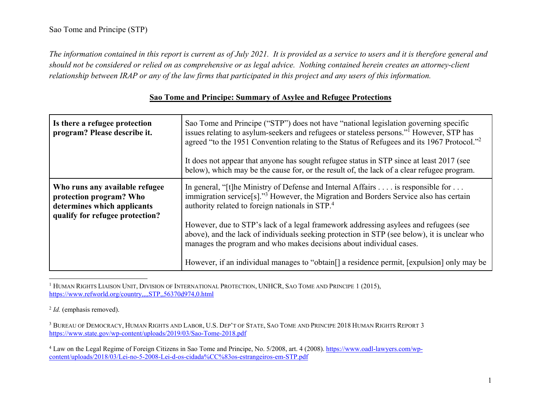*The information contained in this report is current as of July 2021. It is provided as a service to users and it is therefore general and should not be considered or relied on as comprehensive or as legal advice. Nothing contained herein creates an attorney-client relationship between IRAP or any of the law firms that participated in this project and any users of this information.* 

| Is there a refugee protection<br>program? Please describe it.                                                               | Sao Tome and Principe ("STP") does not have "national legislation governing specific<br>issues relating to asylum-seekers and refugees or stateless persons." <sup>1</sup> However, STP has<br>agreed "to the 1951 Convention relating to the Status of Refugees and its 1967 Protocol." <sup>2</sup><br>It does not appear that anyone has sought refugee status in STP since at least 2017 (see<br>below), which may be the cause for, or the result of, the lack of a clear refugee program. |
|-----------------------------------------------------------------------------------------------------------------------------|-------------------------------------------------------------------------------------------------------------------------------------------------------------------------------------------------------------------------------------------------------------------------------------------------------------------------------------------------------------------------------------------------------------------------------------------------------------------------------------------------|
| Who runs any available refugee<br>protection program? Who<br>determines which applicants<br>qualify for refugee protection? | In general, "[t] he Ministry of Defense and Internal Affairs $\dots$ is responsible for $\dots$<br>immigration service <sup>[s]</sup> ." <sup>3</sup> However, the Migration and Borders Service also has certain<br>authority related to foreign nationals in STP. <sup>4</sup><br>However, due to STP's lack of a legal framework addressing asylees and refugees (see                                                                                                                        |
|                                                                                                                             | above), and the lack of individuals seeking protection in STP (see below), it is unclear who<br>manages the program and who makes decisions about individual cases.<br>However, if an individual manages to "obtain <sup>[]</sup> a residence permit, [expulsion] only may be                                                                                                                                                                                                                   |

# **Sao Tome and Principe: Summary of Asylee and Refugee Protections**

<sup>1</sup> HUMAN RIGHTS LIAISON UNIT, DIVISION OF INTERNATIONAL PROTECTION, UNHCR, SAO TOME AND PRINCIPE 1 (2015), https://www.refworld.org/country,,,,STP,,56370d974,0.html

2 *Id.* (emphasis removed).

3 BUREAU OF DEMOCRACY, HUMAN RIGHTS AND LABOR, U.S. DEP'T OF STATE, SAO TOME AND PRINCIPE 2018 HUMAN RIGHTS REPORT 3 https://www.state.gov/wp-content/uploads/2019/03/Sao-Tome-2018.pdf

<sup>4</sup> Law on the Legal Regime of Foreign Citizens in Sao Tome and Principe, No. 5/2008, art. 4 (2008). https://www.oadl-lawyers.com/wpcontent/uploads/2018/03/Lei-no-5-2008-Lei-d-os-cidada%CC%83os-estrangeiros-em-STP.pdf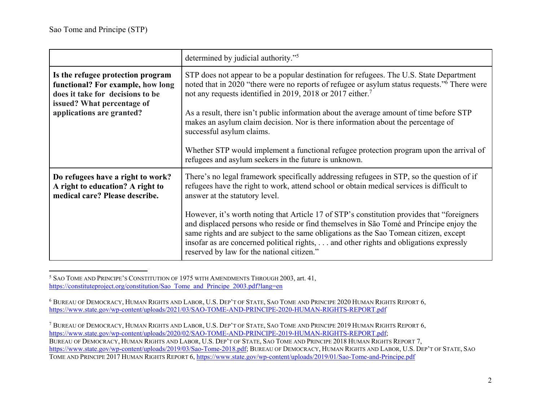|                                                                                                                                                                       | determined by judicial authority." <sup>5</sup>                                                                                                                                                                                                                                                                                                                                                                                                                                                                                                                                                                                                    |
|-----------------------------------------------------------------------------------------------------------------------------------------------------------------------|----------------------------------------------------------------------------------------------------------------------------------------------------------------------------------------------------------------------------------------------------------------------------------------------------------------------------------------------------------------------------------------------------------------------------------------------------------------------------------------------------------------------------------------------------------------------------------------------------------------------------------------------------|
| Is the refugee protection program<br>functional? For example, how long<br>does it take for decisions to be<br>issued? What percentage of<br>applications are granted? | STP does not appear to be a popular destination for refugees. The U.S. State Department<br>noted that in 2020 "there were no reports of refugee or asylum status requests." <sup>6</sup> There were<br>not any requests identified in 2019, 2018 or 2017 either. <sup>7</sup><br>As a result, there isn't public information about the average amount of time before STP<br>makes an asylum claim decision. Nor is there information about the percentage of<br>successful asylum claims.<br>Whether STP would implement a functional refugee protection program upon the arrival of<br>refugees and asylum seekers in the future is unknown.      |
| Do refugees have a right to work?<br>A right to education? A right to<br>medical care? Please describe.                                                               | There's no legal framework specifically addressing refugees in STP, so the question of if<br>refugees have the right to work, attend school or obtain medical services is difficult to<br>answer at the statutory level.<br>However, it's worth noting that Article 17 of STP's constitution provides that "foreigners"<br>and displaced persons who reside or find themselves in São Tomé and Príncipe enjoy the<br>same rights and are subject to the same obligations as the Sao Tomean citizen, except<br>insofar as are concerned political rights,  and other rights and obligations expressly<br>reserved by law for the national citizen." |

5 SAO TOME AND PRINCIPE'S CONSTITUTION OF 1975 WITH AMENDMENTS THROUGH 2003, art. 41, https://constituteproject.org/constitution/Sao\_Tome\_and\_Principe\_2003.pdf?lang=en

6 BUREAU OF DEMOCRACY, HUMAN RIGHTS AND LABOR, U.S. DEP'T OF STATE, SAO TOME AND PRINCIPE 2020 HUMAN RIGHTS REPORT 6, https://www.state.gov/wp-content/uploads/2021/03/SAO-TOME-AND-PRINCIPE-2020-HUMAN-RIGHTS-REPORT.pdf

7 BUREAU OF DEMOCRACY, HUMAN RIGHTS AND LABOR, U.S. DEP'T OF STATE, SAO TOME AND PRINCIPE 2019 HUMAN RIGHTS REPORT 6, https://www.state.gov/wp-content/uploads/2020/02/SAO-TOME-AND-PRINCIPE-2019-HUMAN-RIGHTS-REPORT.pdf; BUREAU OF DEMOCRACY, HUMAN RIGHTS AND LABOR, U.S. DEP'T OF STATE, SAO TOME AND PRINCIPE 2018 HUMAN RIGHTS REPORT 7, https://www.state.gov/wp-content/uploads/2019/03/Sao-Tome-2018.pdf; BUREAU OF DEMOCRACY, HUMAN RIGHTS AND LABOR, U.S. DEP'T OF STATE, SAO TOME AND PRINCIPE 2017 HUMAN RIGHTS REPORT 6, <u>https://www.state.gov/wp-content/uploads/2019/01/Sao-Tome-and-Principe.pdf</u>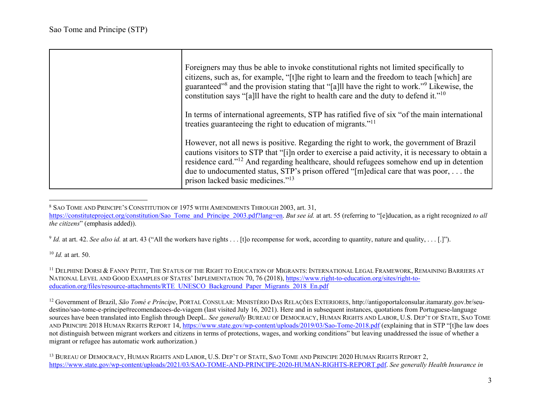| Foreigners may thus be able to invoke constitutional rights not limited specifically to<br>citizens, such as, for example, "[t] he right to learn and the freedom to teach [which] are<br>guaranteed" <sup>8</sup> and the provision stating that "[a]ll have the right to work." <sup>9</sup> Likewise, the<br>constitution says "[a]ll have the right to health care and the duty to defend it." <sup>10</sup>                                |
|-------------------------------------------------------------------------------------------------------------------------------------------------------------------------------------------------------------------------------------------------------------------------------------------------------------------------------------------------------------------------------------------------------------------------------------------------|
| In terms of international agreements, STP has ratified five of six "of the main international<br>treaties guaranteeing the right to education of migrants." <sup>11</sup>                                                                                                                                                                                                                                                                       |
| However, not all news is positive. Regarding the right to work, the government of Brazil<br>cautions visitors to STP that "[i]n order to exercise a paid activity, it is necessary to obtain a<br>residence card." <sup>12</sup> And regarding healthcare, should refugees somehow end up in detention<br>due to undocumented status, STP's prison offered "[m]edical care that was poor,  the<br>prison lacked basic medicines." <sup>13</sup> |

<sup>8</sup> SAO TOME AND PRINCIPE'S CONSTITUTION OF 1975 WITH AMENDMENTS THROUGH 2003, art. 31,

https://constituteproject.org/constitution/Sao\_Tome\_and\_Principe\_2003.pdf?lang=en. *But see id.* at art. 55 (referring to "[e]ducation, as a right recognized *to all the citizens*" (emphasis added)).

<sup>9</sup> *Id.* at art. 42. See also id. at art. 43 ("All the workers have rights . . . [t]o recompense for work, according to quantity, nature and quality, . . . [.]").

10 *Id.* at art. 50.

 $^{11}$  Delphine Dorsi & Fanny Petit, The Status of the Right to Education of Migrants: International Legal Framework, Remaining Barriers at National Level and Good Examples of States' Implementation 70, 76 (2018), <u>https://www.right-to-education.org/sites/right-to-</u> education.org/files/resource-attachments/RTE\_UNESCO\_Background\_Paper\_Migrants\_2018\_En.pdf

12 Government of Brazil, *São Tomé e Príncipe*, PORTAL CONSULAR: MINISTÉRIO DAS RELAÇÕES EXTERIORES, http://antigoportalconsular.itamaraty.gov.br/seudestino/sao-tome-e-principe#recomendacoes-de-viagem (last visited July 16, 2021). Here and in subsequent instances, quotations from Portuguese-language sources have been translated into English through DeepL. *See generally* BUREAU OF DEMOCRACY, HUMAN RIGHTS AND LABOR, U.S. DEP'T OF STATE, SAO TOME AND PRINCIPE 2018 HUMAN RIGHTS REPORT 14, https://www.state.gov/wp-content/uploads/2019/03/Sao-Tome-2018.pdf (explaining that in STP "[t]he law does not distinguish between migrant workers and citizens in terms of protections, wages, and working conditions" but leaving unaddressed the issue of whether a migrant or refugee has automatic work authorization.)

<sup>13</sup> BUREAU OF DEMOCRACY, HUMAN RIGHTS AND LABOR, U.S. DEP'T OF STATE, SAO TOME AND PRINCIPE 2020 HUMAN RIGHTS REPORT 2, https://www.state.gov/wp-content/uploads/2021/03/SAO-TOME-AND-PRINCIPE-2020-HUMAN-RIGHTS-REPORT.pdf. *See generally Health Insurance in*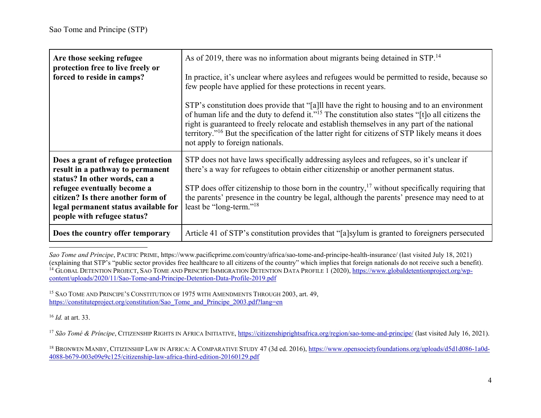| Are those seeking refugee<br>protection free to live freely or<br>forced to reside in camps?                                                                                                                                                       | As of 2019, there was no information about migrants being detained in STP. <sup>14</sup><br>In practice, it's unclear where asylees and refugees would be permitted to reside, because so<br>few people have applied for these protections in recent years.<br>STP's constitution does provide that "[a]ll have the right to housing and to an environment<br>of human life and the duty to defend it." <sup>15</sup> The constitution also states "[t]o all citizens the<br>right is guaranteed to freely relocate and establish themselves in any part of the national<br>territory." <sup>16</sup> But the specification of the latter right for citizens of STP likely means it does<br>not apply to foreign nationals. |
|----------------------------------------------------------------------------------------------------------------------------------------------------------------------------------------------------------------------------------------------------|-----------------------------------------------------------------------------------------------------------------------------------------------------------------------------------------------------------------------------------------------------------------------------------------------------------------------------------------------------------------------------------------------------------------------------------------------------------------------------------------------------------------------------------------------------------------------------------------------------------------------------------------------------------------------------------------------------------------------------|
| Does a grant of refugee protection<br>result in a pathway to permanent<br>status? In other words, can a<br>refugee eventually become a<br>citizen? Is there another form of<br>legal permanent status available for<br>people with refugee status? | STP does not have laws specifically addressing asylees and refugees, so it's unclear if<br>there's a way for refugees to obtain either citizenship or another permanent status.<br>STP does offer citizenship to those born in the country, $\frac{1}{2}$ without specifically requiring that<br>the parents' presence in the country be legal, although the parents' presence may need to at<br>least be "long-term." <sup>18</sup>                                                                                                                                                                                                                                                                                        |
| Does the country offer temporary                                                                                                                                                                                                                   | Article 41 of STP's constitution provides that "[a]sylum is granted to foreigners persecuted                                                                                                                                                                                                                                                                                                                                                                                                                                                                                                                                                                                                                                |

*Sao Tome and Principe*, PACIFIC PRIME, https://www.pacificprime.com/country/africa/sao-tome-and-principe-health-insurance/ (last visited July 18, 2021) (explaining that STP's "public sector provides free healthcare to all citizens of the country" which implies that foreign nationals do not receive such a benefit). <sup>14</sup> GLOBAL DETENTION PROJECT, SAO TOME AND PRINCIPE IMMIGRATION DETENTION DATA PROFILE 1 (2020), https://www.globaldetentionproject.org/wpcontent/uploads/2020/11/Sao-Tome-and-Principe-Detention-Data-Profile-2019.pdf

<sup>15</sup> SAO TOME AND PRINCIPE'S CONSTITUTION OF 1975 WITH AMENDMENTS THROUGH 2003, art. 49, https://constituteproject.org/constitution/Sao\_Tome\_and\_Principe\_2003.pdf?lang=en

16 *Id.* at art. 33.

<sup>17</sup> São Tomé & Príncipe, CITIZENSHIP RIGHTS IN AFRICA INITIATIVE, <u>https://citizenshiprightsafrica.org/region/sao-tome-and-principe/</u> (last visited July 16, 2021).

<sup>18</sup> BRONWEN MANBY, CITIZENSHIP LAW IN AFRICA: A COMPARATIVE STUDY 47 (3d ed. 2016), https://www.opensocietyfoundations.org/uploads/d5d1d086-1a0d-4088-b679-003e09e9c125/citizenship-law-africa-third-edition-20160129.pdf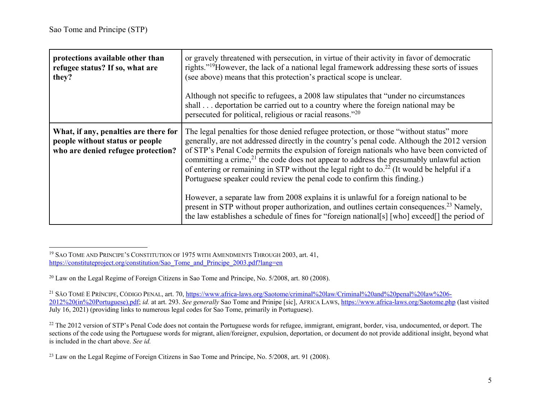| protections available other than<br>refugee status? If so, what are<br>they?                                   | or gravely threatened with persecution, in virtue of their activity in favor of democratic<br>rights." <sup>19</sup> However, the lack of a national legal framework addressing these sorts of issues<br>(see above) means that this protection's practical scope is unclear.<br>Although not specific to refugees, a 2008 law stipulates that "under no circumstances"<br>shall deportation be carried out to a country where the foreign national may be<br>persecuted for political, religious or racial reasons."20                                                                                                                                                                                                                                                                                                                                                      |
|----------------------------------------------------------------------------------------------------------------|------------------------------------------------------------------------------------------------------------------------------------------------------------------------------------------------------------------------------------------------------------------------------------------------------------------------------------------------------------------------------------------------------------------------------------------------------------------------------------------------------------------------------------------------------------------------------------------------------------------------------------------------------------------------------------------------------------------------------------------------------------------------------------------------------------------------------------------------------------------------------|
| What, if any, penalties are there for<br>people without status or people<br>who are denied refugee protection? | The legal penalties for those denied refugee protection, or those "without status" more<br>generally, are not addressed directly in the country's penal code. Although the 2012 version<br>of STP's Penal Code permits the expulsion of foreign nationals who have been convicted of<br>committing a crime, <sup>21</sup> the code does not appear to address the presumably unlawful action<br>of entering or remaining in STP without the legal right to $do.22$ (It would be helpful if a<br>Portuguese speaker could review the penal code to confirm this finding.)<br>However, a separate law from 2008 explains it is unlawful for a foreign national to be<br>present in STP without proper authorization, and outlines certain consequences. <sup>23</sup> Namely,<br>the law establishes a schedule of fines for "foreign national[s] [who] exceed[] the period of |

<sup>19</sup> SAO TOME AND PRINCIPE'S CONSTITUTION OF 1975 WITH AMENDMENTS THROUGH 2003, art. 41, https://constituteproject.org/constitution/Sao\_Tome\_and\_Principe\_2003.pdf?lang=en

<sup>&</sup>lt;sup>20</sup> Law on the Legal Regime of Foreign Citizens in Sao Tome and Principe, No. 5/2008, art. 80 (2008).

<sup>&</sup>lt;sup>21</sup> SÃO TOMÉ E PRÍNCIPE, CÓDIGO PENAL, art. 70, <u>https://www.africa-laws.org/Saotome/criminal%20law/Criminal%20and%20penal%20law%206-</u> 2012%20(in%20Portuguese).pdf; *id.* at art. 293. *See generally* Sao Tome and Prinipe [sic], AFRICA LAWS, https://www.africa-laws.org/Saotome.php (last visited July 16, 2021) (providing links to numerous legal codes for Sao Tome, primarily in Portuguese).

 $^{22}$  The 2012 version of STP's Penal Code does not contain the Portuguese words for refugee, immigrant, emigrant, border, visa, undocumented, or deport. The sections of the code using the Portuguese words for migrant, alien/foreigner, expulsion, deportation, or document do not provide additional insight, beyond what is included in the chart above. *See id.*

<sup>&</sup>lt;sup>23</sup> Law on the Legal Regime of Foreign Citizens in Sao Tome and Principe, No. 5/2008, art. 91 (2008).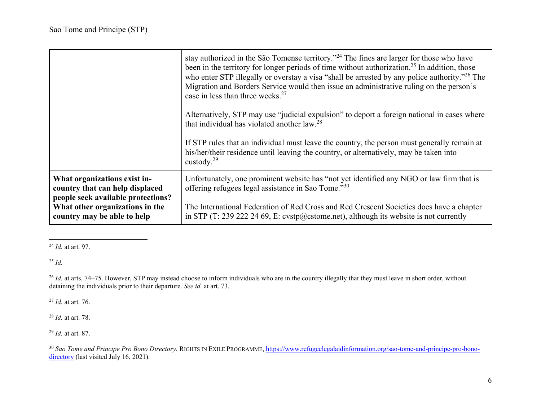|                                                                                                       | stay authorized in the São Tomense territory." <sup>24</sup> The fines are larger for those who have<br>been in the territory for longer periods of time without authorization. <sup>25</sup> In addition, those<br>who enter STP illegally or overstay a visa "shall be arrested by any police authority." <sup>26</sup> The<br>Migration and Borders Service would then issue an administrative ruling on the person's<br>case in less than three weeks. <sup>27</sup> |
|-------------------------------------------------------------------------------------------------------|--------------------------------------------------------------------------------------------------------------------------------------------------------------------------------------------------------------------------------------------------------------------------------------------------------------------------------------------------------------------------------------------------------------------------------------------------------------------------|
|                                                                                                       | Alternatively, STP may use "judicial expulsion" to deport a foreign national in cases where<br>that individual has violated another law. <sup>28</sup>                                                                                                                                                                                                                                                                                                                   |
|                                                                                                       | If STP rules that an individual must leave the country, the person must generally remain at<br>his/her/their residence until leaving the country, or alternatively, may be taken into<br>custody. $^{29}$                                                                                                                                                                                                                                                                |
| What organizations exist in-<br>country that can help displaced<br>people seek available protections? | Unfortunately, one prominent website has "not yet identified any NGO or law firm that is<br>offering refugees legal assistance in Sao Tome."30                                                                                                                                                                                                                                                                                                                           |
| What other organizations in the<br>country may be able to help                                        | The International Federation of Red Cross and Red Crescent Societies does have a chapter<br>in STP (T: 239 222 24 69, E: cvstp@cstome.net), although its website is not currently                                                                                                                                                                                                                                                                                        |

<sup>24</sup> *Id.* at art. 97.

25 *Id.*

<sup>26</sup> *Id.* at arts. 74–75. However, STP may instead choose to inform individuals who are in the country illegally that they must leave in short order, without detaining the individuals prior to their departure. *See id.* at art. 73.

27 *Id.* at art. 76.

28 *Id.* at art. 78.

29 *Id.* at art. 87.

<sup>30</sup> Sao Tome and Principe Pro Bono Directory, RIGHTS IN EXILE PROGRAMME, <u>https://www.refugeelegalaidinformation.org/sao-tome-and-principe-pro-bono-</u> directory (last visited July 16, 2021).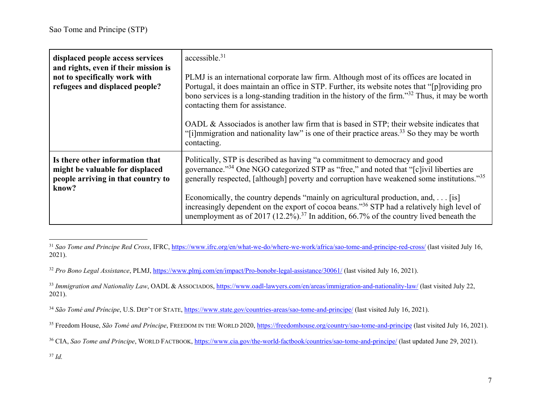| displaced people access services<br>and rights, even if their mission is<br>not to specifically work with<br>refugees and displaced people? | accessible. <sup>31</sup><br>PLMJ is an international corporate law firm. Although most of its offices are located in<br>Portugal, it does maintain an office in STP. Further, its website notes that "[p] roviding pro<br>bono services is a long-standing tradition in the history of the firm." <sup>32</sup> Thus, it may be worth<br>contacting them for assistance.<br>OADL & Associados is another law firm that is based in STP; their website indicates that<br>"[i] mmigration and nationality law" is one of their practice areas. <sup>33</sup> So they may be worth<br>contacting. |
|---------------------------------------------------------------------------------------------------------------------------------------------|-------------------------------------------------------------------------------------------------------------------------------------------------------------------------------------------------------------------------------------------------------------------------------------------------------------------------------------------------------------------------------------------------------------------------------------------------------------------------------------------------------------------------------------------------------------------------------------------------|
| Is there other information that<br>might be valuable for displaced<br>people arriving in that country to<br>know?                           | Politically, STP is described as having "a commitment to democracy and good<br>governance." <sup>34</sup> One NGO categorized STP as "free," and noted that "[c]ivil liberties are<br>generally respected, [although] poverty and corruption have weakened some institutions."35<br>Economically, the country depends "mainly on agricultural production, and, $\dots$ [is]<br>increasingly dependent on the export of cocoa beans." <sup>36</sup> STP had a relatively high level of<br>unemployment as of 2017 (12.2%). <sup>37</sup> In addition, 66.7% of the country lived beneath the     |

<sup>&</sup>lt;sup>31</sup> Sao Tome and Principe Red Cross, IFRC, https://www.ifrc.org/en/what-we-do/where-we-work/africa/sao-tome-and-principe-red-cross/ (last visited July 16, 2021).

37 *Id.*

<sup>32</sup> *Pro Bono Legal Assistance*, PLMJ, https://www.plmj.com/en/impact/Pro-bonobr-legal-assistance/30061/ (last visited July 16, 2021).

<sup>&</sup>lt;sup>33</sup> Immigration and Nationality Law, OADL & Associados, https://www.oadl-lawyers.com/en/areas/immigration-and-nationality-law/ (last visited July 22, 2021).

<sup>34</sup> *São Tomé and Príncipe*, U.S. DEP'T OF STATE, https://www.state.gov/countries-areas/sao-tome-and-principe/ (last visited July 16, 2021).

<sup>&</sup>lt;sup>35</sup> Freedom House, *São Tomé and Príncipe*, FREEDOM IN THE WORLD 2020, https://freedomhouse.org/country/sao-tome-and-principe (last visited July 16, 2021).

<sup>&</sup>lt;sup>36</sup> CIA, *Sao Tome and Principe*, WORLD FACTBOOK, https://www.cia.gov/the-world-factbook/countries/sao-tome-and-principe/ (last updated June 29, 2021).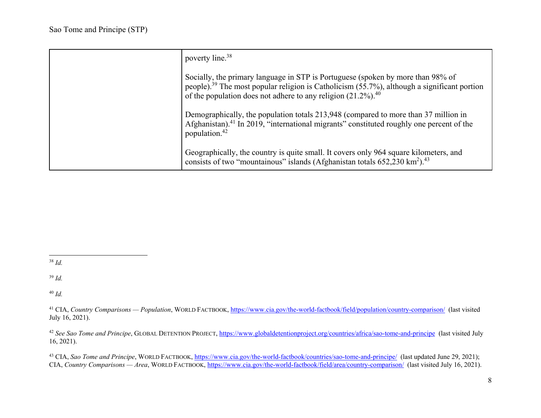| poverty line. <sup>38</sup>                                                                                                                                                                                                                                                    |
|--------------------------------------------------------------------------------------------------------------------------------------------------------------------------------------------------------------------------------------------------------------------------------|
| Socially, the primary language in STP is Portuguese (spoken by more than 98% of<br>people). <sup>39</sup> The most popular religion is Catholicism $(55.7\%)$ , although a significant portion<br>of the population does not adhere to any religion $(21.2\%)$ . <sup>40</sup> |
| Demographically, the population totals 213,948 (compared to more than 37 million in<br>Afghanistan). <sup>41</sup> In 2019, "international migrants" constituted roughly one percent of the<br>population. <sup>42</sup>                                                       |
| Geographically, the country is quite small. It covers only 964 square kilometers, and<br>consists of two "mountainous" islands (Afghanistan totals $652,230 \text{ km}^2$ ). <sup>43</sup>                                                                                     |

38 *Id.*

39 *Id.*

40 *Id.*

<sup>41</sup> CIA, *Country Comparisons* — *Population*, WORLD FACTBOOK, https://www.cia.gov/the-world-factbook/field/population/country-comparison/ (last visited July 16, 2021).

42 *See Sao Tome and Principe*, GLOBAL DETENTION PROJECT, https://www.globaldetentionproject.org/countries/africa/sao-tome-and-principe (last visited July 16, 2021).

43 CIA, *Sao Tome and Principe*, WORLD FACTBOOK, https://www.cia.gov/the-world-factbook/countries/sao-tome-and-principe/ (last updated June 29, 2021); CIA, *Country Comparisons — Area*, WORLD FACTBOOK, https://www.cia.gov/the-world-factbook/field/area/country-comparison/ (last visited July 16, 2021).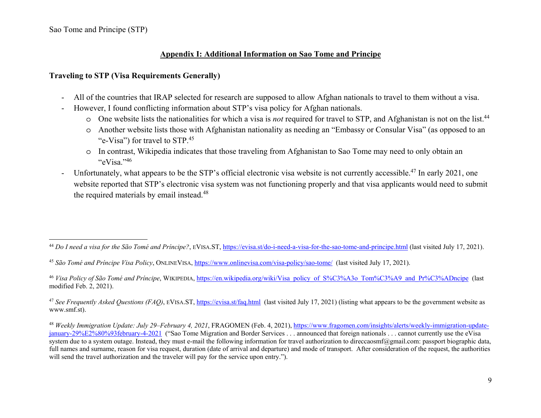Sao Tome and Principe (STP)

#### **Appendix I: Additional Information on Sao Tome and Principe**

#### **Traveling to STP (Visa Requirements Generally)**

- -All of the countries that IRAP selected for research are supposed to allow Afghan nationals to travel to them without a visa.
- - However, I found conflicting information about STP's visa policy for Afghan nationals.
	- o One website lists the nationalities for which a visa is *not* required for travel to STP, and Afghanistan is not on the list.<sup>44</sup>
	- o Another website lists those with Afghanistan nationality as needing an "Embassy or Consular Visa" (as opposed to an "e-Visa") for travel to STP.<sup>45</sup>
	- o In contrast, Wikipedia indicates that those traveling from Afghanistan to Sao Tome may need to only obtain an " $eV$ isa."46
- -Unfortunately, what appears to be the STP's official electronic visa website is not currently accessible.<sup>47</sup> In early 2021, one website reported that STP's electronic visa system was not functioning properly and that visa applicants would need to submit the required materials by email instead.<sup>48</sup>

47 *See Frequently Asked Questions (FAQ)*, EVISA.ST, https://evisa.st/faq.html (last visited July 17, 2021) (listing what appears to be the government website as www.smf.st).

<sup>44</sup> *Do I need a visa for the São Tomé and Príncipe?*, EVISA.ST, https://evisa.st/do-i-need-a-visa-for-the-sao-tome-and-principe.html (last visited July 17, 2021).

<sup>45</sup> *São Tomé and Príncipe Visa Policy*, ONLINEVISA, https://www.onlinevisa.com/visa-policy/sao-tome/ (last visited July 17, 2021).

<sup>&</sup>lt;sup>46</sup> *Visa Policy of São Tomé and Príncipe*, WIKIPEDIA, <u>https://en.wikipedia.org/wiki/Visa\_policy\_of\_S%C3%A3o\_Tom%C3%A9\_and\_Pr%C3%ADncipe</u> (last modified Feb. 2, 2021).

<sup>48</sup> *Weekly Immigration Update: July 29–February 4, 2021*, FRAGOMEN (Feb. 4, 2021), https://www.fragomen.com/insights/alerts/weekly-immigration-updatejanuary-29%E2%80%93february-4-2021 ("Sao Tome Migration and Border Services . . . announced that foreign nationals . . . cannot currently use the eVisa system due to a system outage. Instead, they must e-mail the following information for travel authorization to direccaosmf@gmail.com: passport biographic data, full names and surname, reason for visa request, duration (date of arrival and departure) and mode of transport. After consideration of the request, the authorities will send the travel authorization and the traveler will pay for the service upon entry.").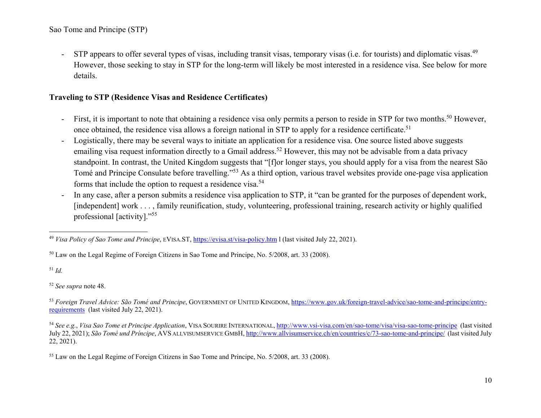Sao Tome and Principe (STP)

-STP appears to offer several types of visas, including transit visas, temporary visas (i.e. for tourists) and diplomatic visas.<sup>49</sup> However, those seeking to stay in STP for the long-term will likely be most interested in a residence visa. See below for more details.

#### **Traveling to STP (Residence Visas and Residence Certificates)**

- -First, it is important to note that obtaining a residence visa only permits a person to reside in STP for two months.<sup>50</sup> However, once obtained, the residence visa allows a foreign national in STP to apply for a residence certificate.<sup>51</sup>
- - Logistically, there may be several ways to initiate an application for a residence visa. One source listed above suggests emailing visa request information directly to a Gmail address.<sup>52</sup> However, this may not be advisable from a data privacy standpoint. In contrast, the United Kingdom suggests that "[f]or longer stays, you should apply for a visa from the nearest São Tomé and Principe Consulate before travelling."53 As a third option, various travel websites provide one-page visa application forms that include the option to request a residence visa.<sup>54</sup>
- - In any case, after a person submits a residence visa application to STP, it "can be granted for the purposes of dependent work, [independent] work . . . , family reunification, study, volunteering, professional training, research activity or highly qualified professional [activity]."<sup>55</sup>

51 *Id.*

52 *See supra* note 48.

53 *Foreign Travel Advice: São Tomé and Principe*, GOVERNMENT OF UNITED KINGDOM, https://www.gov.uk/foreign-travel-advice/sao-tome-and-principe/entryrequirements (last visited July 22, 2021).

<sup>49</sup> *Visa Policy of Sao Tome and Principe*, EVISA.ST, https://evisa.st/visa-policy.htm l (last visited July 22, 2021).

<sup>&</sup>lt;sup>50</sup> Law on the Legal Regime of Foreign Citizens in Sao Tome and Principe, No. 5/2008, art. 33 (2008).

<sup>54</sup> *See e.g.*, *Visa Sao Tome et Principe Application*, VISA SOURIRE INTERNATIONAL, http://www.vsi-visa.com/en/sao-tome/visa/visa-sao-tome-principe (last visited July 22, 2021); *São Tomé und Príncipe*, AVS ALLVISUMSERVICE GMBH, http://www.allvisumservice.ch/en/countries/c/73-sao-tome-and-principe/ (last visited July 22, 2021).

<sup>&</sup>lt;sup>55</sup> Law on the Legal Regime of Foreign Citizens in Sao Tome and Principe, No. 5/2008, art. 33 (2008).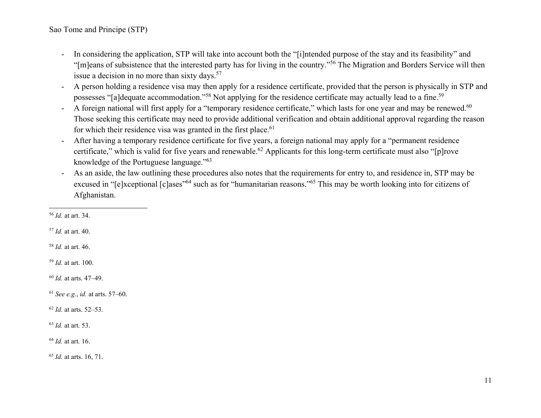Sao Tome and Principe (STP)

- - In considering the application, STP will take into account both the "[i]ntended purpose of the stay and its feasibility" and "[m]eans of subsistence that the interested party has for living in the country."56 The Migration and Borders Service will then issue a decision in no more than sixty days.<sup>57</sup>
- - A person holding a residence visa may then apply for a residence certificate, provided that the person is physically in STP and possesses "[a]dequate accommodation."<sup>58</sup> Not applying for the residence certificate may actually lead to a fine.<sup>59</sup>
- -A foreign national will first apply for a "temporary residence certificate," which lasts for one year and may be renewed.<sup>60</sup> Those seeking this certificate may need to provide additional verification and obtain additional approval regarding the reason for which their residence visa was granted in the first place.<sup>61</sup>
- - After having a temporary residence certificate for five years, a foreign national may apply for a "permanent residence certificate," which is valid for five years and renewable.<sup>62</sup> Applicants for this long-term certificate must also "[p]rove knowledge of the Portuguese language."<sup>63</sup>
- - As an aside, the law outlining these procedures also notes that the requirements for entry to, and residence in, STP may be excused in "[e]xceptional [c]ases"64 such as for "humanitarian reasons."65 This may be worth looking into for citizens of Afghanistan.

57 *Id.* at art. 40.

58 *Id.* at art. 46.

59 *Id.* at art. 100.

60 *Id.* at arts. 47–49.

61 *See e.g.*, *id.* at arts. 57–60.

62 *Id.* at arts. 52–53.

63 *Id.* at art. 53.

64 *Id.* at art. 16.

65 *Id.* at arts. 16, 71.

<sup>56</sup> *Id.* at art. 34.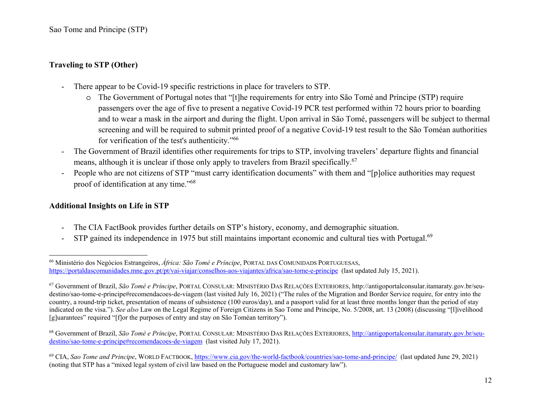## **Traveling to STP (Other)**

- There appear to be Covid-19 specific restrictions in place for travelers to STP.
	- o The Government of Portugal notes that "[t]he requirements for entry into São Tomé and Príncipe (STP) require passengers over the age of five to present a negative Covid-19 PCR test performed within 72 hours prior to boarding and to wear a mask in the airport and during the flight. Upon arrival in São Tomé, passengers will be subject to thermal screening and will be required to submit printed proof of a negative Covid-19 test result to the São Toméan authorities for verification of the test's authenticity."<sup>66</sup>
- - The Government of Brazil identifies other requirements for trips to STP, involving travelers' departure flights and financial means, although it is unclear if those only apply to travelers from Brazil specifically.<sup>67</sup>
- -People who are not citizens of STP "must carry identification documents" with them and "[p]olice authorities may request proof of identification at any time."<sup>68</sup>

#### **Additional Insights on Life in STP**

- -The CIA FactBook provides further details on STP's history, economy, and demographic situation.
- -STP gained its independence in 1975 but still maintains important economic and cultural ties with Portugal.<sup>69</sup>

<sup>66</sup> Ministério dos Negócios Estrangeiros, *África: São Tomé e Príncipe*, PORTAL DAS COMUNIDADS PORTUGUESAS, https://portaldascomunidades.mne.gov.pt/pt/vai-viajar/conselhos-aos-viajantes/africa/sao-tome-e-principe (last updated July 15, 2021).

<sup>67</sup> Government of Brazil, *São Tomé e Príncipe*, PORTAL CONSULAR: MINISTÉRIO DAS RELAÇÕES EXTERIORES, http://antigoportalconsular.itamaraty.gov.br/seudestino/sao-tome-e-principe#recomendacoes-de-viagem (last visited July 16, 2021) ("The rules of the Migration and Border Service require, for entry into the country, a round-trip ticket, presentation of means of subsistence (100 euros/day), and a passport valid for at least three months longer than the period of stay indicated on the visa."). *See also* Law on the Legal Regime of Foreign Citizens in Sao Tome and Principe, No. 5/2008, art. 13 (2008) (discussing "[l]ivelihood [g]uarantees" required "[f]or the purposes of entry and stay on São Toméan territory").

<sup>68</sup> Government of Brazil, *São Tomé e Príncipe*, PORTAL CONSULAR: MINISTÉRIO DAS RELAÇÕES EXTERIORES, http://antigoportalconsular.itamaraty.gov.br/seudestino/sao-tome-e-principe#recomendacoes-de-viagem (last visited July 17, 2021).

<sup>69</sup> CIA, *Sao Tome and Principe*, WORLD FACTBOOK, https://www.cia.gov/the-world-factbook/countries/sao-tome-and-principe/ (last updated June 29, 2021) (noting that STP has a "mixed legal system of civil law based on the Portuguese model and customary law").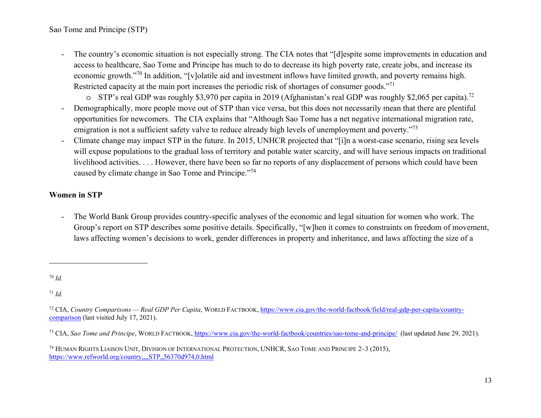- - The country's economic situation is not especially strong. The CIA notes that "[d]espite some improvements in education and access to healthcare, Sao Tome and Principe has much to do to decrease its high poverty rate, create jobs, and increase its economic growth."70 In addition, "[v]olatile aid and investment inflows have limited growth, and poverty remains high. Restricted capacity at the main port increases the periodic risk of shortages of consumer goods."<sup>71</sup>
	- o STP's real GDP was roughly \$3,970 per capita in 2019 (Afghanistan's real GDP was roughly \$2,065 per capita).<sup>72</sup>
- - Demographically, more people move out of STP than vice versa, but this does not necessarily mean that there are plentiful opportunities for newcomers. The CIA explains that "Although Sao Tome has a net negative international migration rate, emigration is not a sufficient safety valve to reduce already high levels of unemployment and poverty."<sup>73</sup>
- - Climate change may impact STP in the future. In 2015, UNHCR projected that "[i]n a worst-case scenario, rising sea levels will expose populations to the gradual loss of territory and potable water scarcity, and will have serious impacts on traditional livelihood activities. . . . However, there have been so far no reports of any displacement of persons which could have been caused by climate change in Sao Tome and Principe."<sup>74</sup>

### **Women in STP**

- The World Bank Group provides country-specific analyses of the economic and legal situation for women who work. The Group's report on STP describes some positive details. Specifically, "[w]hen it comes to constraints on freedom of movement, laws affecting women's decisions to work, gender differences in property and inheritance, and laws affecting the size of a

71 *Id.*

<sup>70</sup> *Id.* 

<sup>72</sup> CIA, *Country Comparisons — Real GDP Per Capita*, WORLD FACTBOOK, https://www.cia.gov/the-world-factbook/field/real-gdp-per-capita/countrycomparison (last visited July 17, 2021).

<sup>73</sup> CIA, *Sao Tome and Principe*, WORLD FACTBOOK, https://www.cia.gov/the-world-factbook/countries/sao-tome-and-principe/ (last updated June 29, 2021).

<sup>74</sup> HUMAN RIGHTS LIAISON UNIT, DIVISION OF INTERNATIONAL PROTECTION, UNHCR, SAO TOME AND PRINCIPE 2–3 (2015), https://www.refworld.org/country,,,,STP,,56370d974,0.html